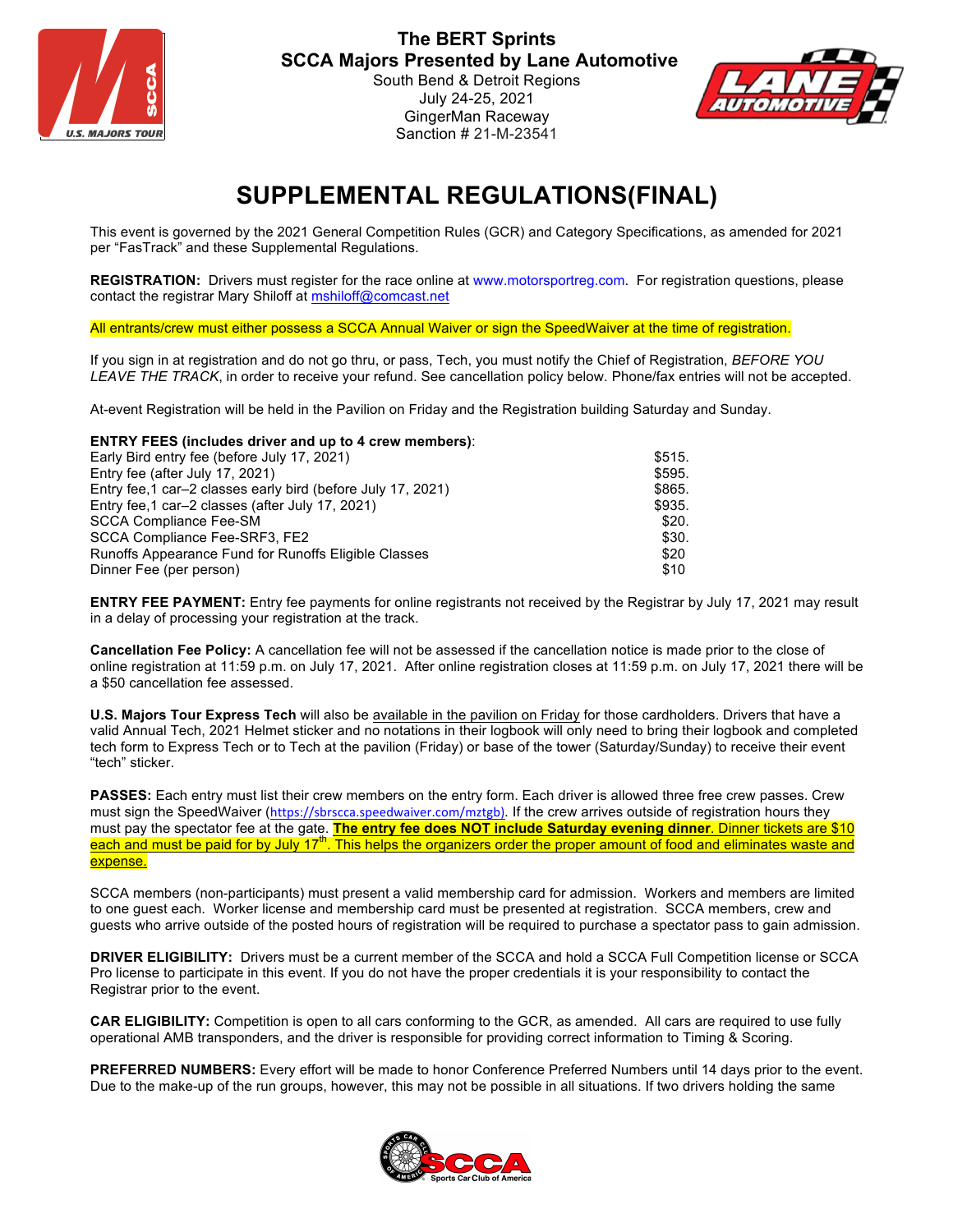



## **SUPPLEMENTAL REGULATIONS(FINAL)**

This event is governed by the 2021 General Competition Rules (GCR) and Category Specifications, as amended for 2021 per "FasTrack" and these Supplemental Regulations.

**REGISTRATION:** Drivers must register for the race online at www.motorsportreg.com. For registration questions, please contact the registrar Mary Shiloff at mshiloff@comcast.net

All entrants/crew must either possess a SCCA Annual Waiver or sign the SpeedWaiver at the time of registration.

If you sign in at registration and do not go thru, or pass, Tech, you must notify the Chief of Registration, *BEFORE YOU LEAVE THE TRACK*, in order to receive your refund. See cancellation policy below. Phone/fax entries will not be accepted.

At-event Registration will be held in the Pavilion on Friday and the Registration building Saturday and Sunday.

**ENTRY FEES (includes driver and up to 4 crew members)**:

| \$515. |
|--------|
| \$595. |
| \$865. |
| \$935. |
| \$20.  |
| \$30.  |
| \$20   |
| \$10   |
|        |

**ENTRY FEE PAYMENT:** Entry fee payments for online registrants not received by the Registrar by July 17, 2021 may result in a delay of processing your registration at the track.

**Cancellation Fee Policy:** A cancellation fee will not be assessed if the cancellation notice is made prior to the close of online registration at 11:59 p.m. on July 17, 2021. After online registration closes at 11:59 p.m. on July 17, 2021 there will be a \$50 cancellation fee assessed.

**U.S. Majors Tour Express Tech** will also be available in the pavilion on Friday for those cardholders. Drivers that have a valid Annual Tech, 2021 Helmet sticker and no notations in their logbook will only need to bring their logbook and completed tech form to Express Tech or to Tech at the pavilion (Friday) or base of the tower (Saturday/Sunday) to receive their event "tech" sticker.

**PASSES:** Each entry must list their crew members on the entry form. Each driver is allowed three free crew passes. Crew must sign the SpeedWaiver (https://sbrscca.speedwaiver.com/mztgb). If the crew arrives outside of registration hours they must pay the spectator fee at the gate. **The entry fee does NOT include Saturday evening dinner**. Dinner tickets are \$10 each and must be paid for by July 17<sup>th</sup>. This helps the organizers order the proper amount of food and eliminates waste and expense.

SCCA members (non-participants) must present a valid membership card for admission. Workers and members are limited to one guest each. Worker license and membership card must be presented at registration. SCCA members, crew and guests who arrive outside of the posted hours of registration will be required to purchase a spectator pass to gain admission.

**DRIVER ELIGIBILITY:** Drivers must be a current member of the SCCA and hold a SCCA Full Competition license or SCCA Pro license to participate in this event. If you do not have the proper credentials it is your responsibility to contact the Registrar prior to the event.

**CAR ELIGIBILITY:** Competition is open to all cars conforming to the GCR, as amended. All cars are required to use fully operational AMB transponders, and the driver is responsible for providing correct information to Timing & Scoring.

**PREFERRED NUMBERS:** Every effort will be made to honor Conference Preferred Numbers until 14 days prior to the event. Due to the make-up of the run groups, however, this may not be possible in all situations. If two drivers holding the same

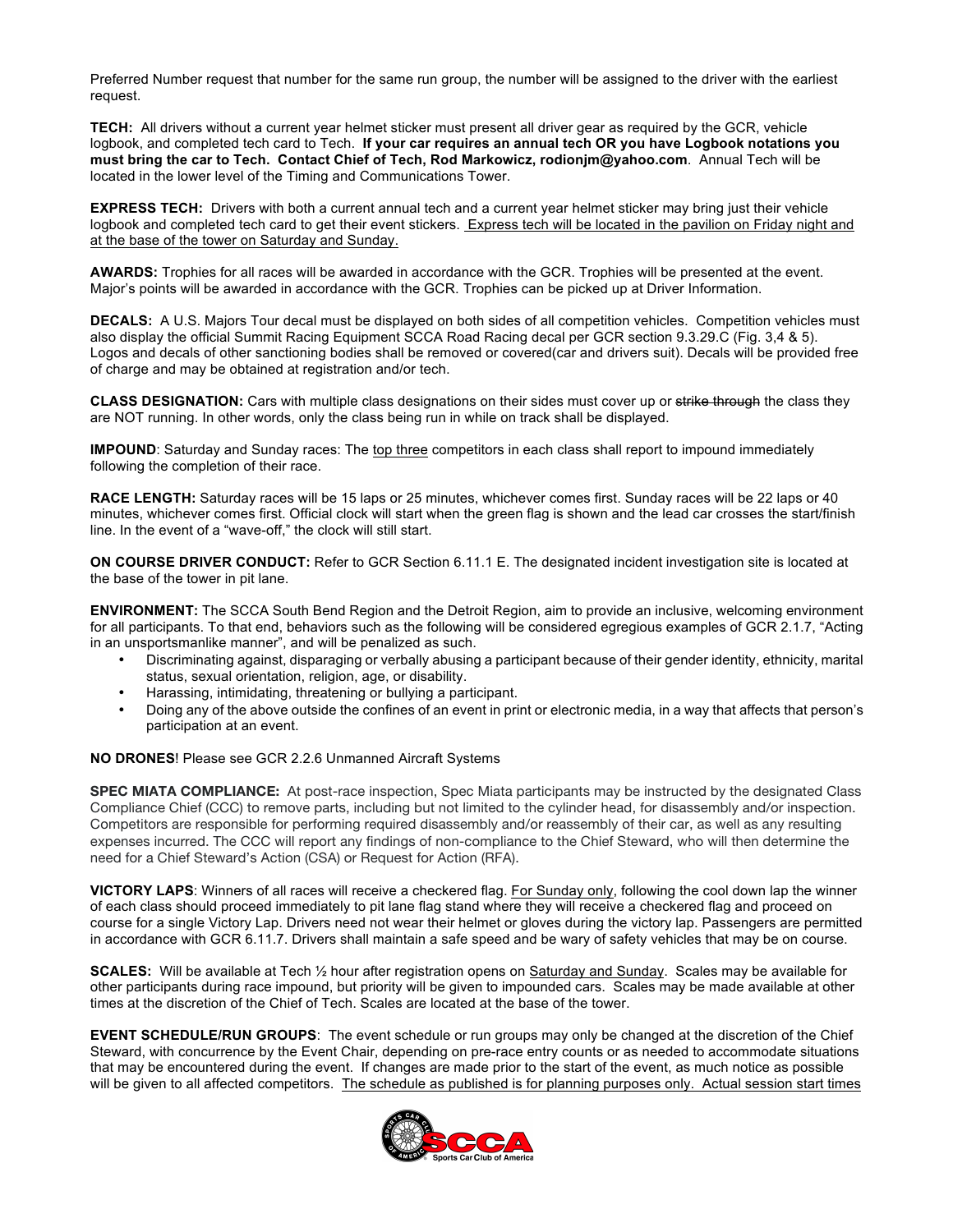Preferred Number request that number for the same run group, the number will be assigned to the driver with the earliest request.

**TECH:** All drivers without a current year helmet sticker must present all driver gear as required by the GCR, vehicle logbook, and completed tech card to Tech. **If your car requires an annual tech OR you have Logbook notations you must bring the car to Tech. Contact Chief of Tech, Rod Markowicz, rodionjm@yahoo.com**. Annual Tech will be located in the lower level of the Timing and Communications Tower.

**EXPRESS TECH:** Drivers with both a current annual tech and a current year helmet sticker may bring just their vehicle logbook and completed tech card to get their event stickers. Express tech will be located in the pavilion on Friday night and at the base of the tower on Saturday and Sunday.

**AWARDS:** Trophies for all races will be awarded in accordance with the GCR. Trophies will be presented at the event. Major's points will be awarded in accordance with the GCR. Trophies can be picked up at Driver Information.

**DECALS:** A U.S. Majors Tour decal must be displayed on both sides of all competition vehicles. Competition vehicles must also display the official Summit Racing Equipment SCCA Road Racing decal per GCR section 9.3.29.C (Fig. 3,4 & 5). Logos and decals of other sanctioning bodies shall be removed or covered(car and drivers suit). Decals will be provided free of charge and may be obtained at registration and/or tech.

**CLASS DESIGNATION:** Cars with multiple class designations on their sides must cover up or strike through the class they are NOT running. In other words, only the class being run in while on track shall be displayed.

**IMPOUND**: Saturday and Sunday races: The top three competitors in each class shall report to impound immediately following the completion of their race.

**RACE LENGTH:** Saturday races will be 15 laps or 25 minutes, whichever comes first. Sunday races will be 22 laps or 40 minutes, whichever comes first. Official clock will start when the green flag is shown and the lead car crosses the start/finish line. In the event of a "wave-off," the clock will still start.

**ON COURSE DRIVER CONDUCT:** Refer to GCR Section 6.11.1 E. The designated incident investigation site is located at the base of the tower in pit lane.

**ENVIRONMENT:** The SCCA South Bend Region and the Detroit Region, aim to provide an inclusive, welcoming environment for all participants. To that end, behaviors such as the following will be considered egregious examples of GCR 2.1.7, "Acting in an unsportsmanlike manner", and will be penalized as such.

- Discriminating against, disparaging or verbally abusing a participant because of their gender identity, ethnicity, marital status, sexual orientation, religion, age, or disability.
- Harassing, intimidating, threatening or bullying a participant.
- Doing any of the above outside the confines of an event in print or electronic media, in a way that affects that person's participation at an event.

## **NO DRONES**! Please see GCR 2.2.6 Unmanned Aircraft Systems

**SPEC MIATA COMPLIANCE:** At post-race inspection, Spec Miata participants may be instructed by the designated Class Compliance Chief (CCC) to remove parts, including but not limited to the cylinder head, for disassembly and/or inspection. Competitors are responsible for performing required disassembly and/or reassembly of their car, as well as any resulting expenses incurred. The CCC will report any findings of non-compliance to the Chief Steward, who will then determine the need for a Chief Steward's Action (CSA) or Request for Action (RFA).

**VICTORY LAPS**: Winners of all races will receive a checkered flag. For Sunday only, following the cool down lap the winner of each class should proceed immediately to pit lane flag stand where they will receive a checkered flag and proceed on course for a single Victory Lap. Drivers need not wear their helmet or gloves during the victory lap. Passengers are permitted in accordance with GCR 6.11.7. Drivers shall maintain a safe speed and be wary of safety vehicles that may be on course.

**SCALES:** Will be available at Tech ½ hour after registration opens on Saturday and Sunday. Scales may be available for other participants during race impound, but priority will be given to impounded cars. Scales may be made available at other times at the discretion of the Chief of Tech. Scales are located at the base of the tower.

**EVENT SCHEDULE/RUN GROUPS**: The event schedule or run groups may only be changed at the discretion of the Chief Steward, with concurrence by the Event Chair, depending on pre-race entry counts or as needed to accommodate situations that may be encountered during the event. If changes are made prior to the start of the event, as much notice as possible will be given to all affected competitors. The schedule as published is for planning purposes only. Actual session start times

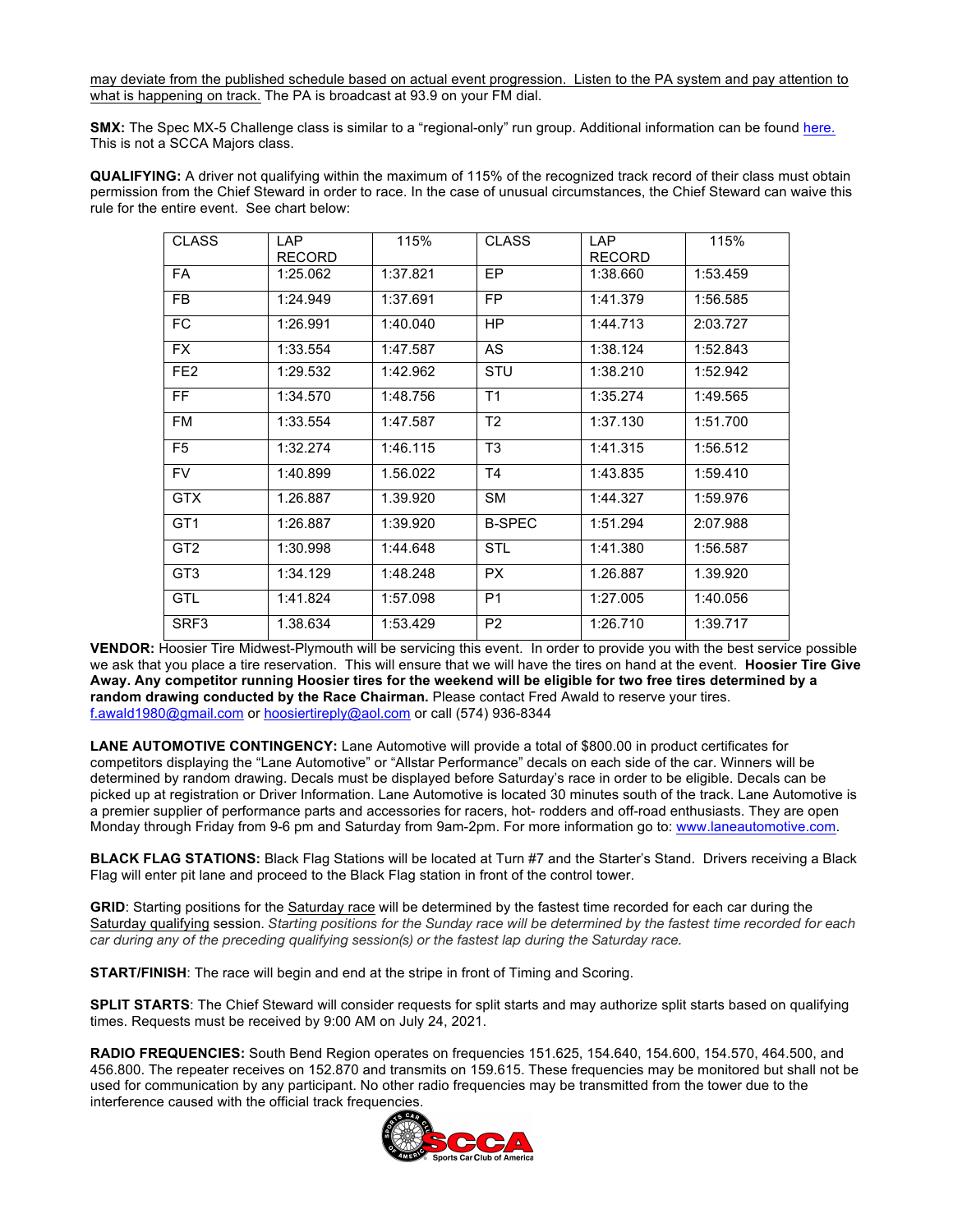may deviate from the published schedule based on actual event progression. Listen to the PA system and pay attention to what is happening on track. The PA is broadcast at 93.9 on your FM dial.

**SMX:** The Spec MX-5 Challenge class is similar to a "regional-only" run group. Additional information can be found here. This is not a SCCA Majors class.

**QUALIFYING:** A driver not qualifying within the maximum of 115% of the recognized track record of their class must obtain permission from the Chief Steward in order to race. In the case of unusual circumstances, the Chief Steward can waive this rule for the entire event. See chart below:

| <b>CLASS</b>    | LAP<br><b>RECORD</b> | 115%     | <b>CLASS</b>   | LAP<br><b>RECORD</b> | 115%     |
|-----------------|----------------------|----------|----------------|----------------------|----------|
| FA              | 1:25.062             | 1:37.821 | EP.            | 1:38.660             | 1:53.459 |
| FB.             | 1:24.949             | 1:37.691 | FP.            | 1:41.379             | 1:56.585 |
| FC.             | 1:26.991             | 1:40.040 | HP.            | 1:44.713             | 2:03.727 |
| FX.             | 1:33.554             | 1:47.587 | AS             | 1:38.124             | 1:52.843 |
| FE <sub>2</sub> | 1:29.532             | 1:42.962 | STU            | 1:38.210             | 1:52.942 |
| FF.             | 1:34.570             | 1:48.756 | T1             | 1:35.274             | 1:49.565 |
| FM              | 1:33.554             | 1:47.587 | T <sub>2</sub> | 1:37.130             | 1:51.700 |
| F <sub>5</sub>  | 1:32.274             | 1:46.115 | T <sub>3</sub> | 1:41.315             | 1:56.512 |
| FV.             | 1:40.899             | 1.56.022 | T4             | 1:43.835             | 1:59.410 |
| <b>GTX</b>      | 1.26.887             | 1.39.920 | <b>SM</b>      | 1:44.327             | 1:59.976 |
| GT <sub>1</sub> | 1:26.887             | 1:39.920 | <b>B-SPEC</b>  | 1:51.294             | 2:07.988 |
| GT <sub>2</sub> | 1:30.998             | 1:44.648 | <b>STL</b>     | 1:41.380             | 1:56.587 |
| GT <sub>3</sub> | 1:34.129             | 1:48.248 | PX.            | 1.26.887             | 1.39.920 |
| GTL             | 1:41.824             | 1:57.098 | P <sub>1</sub> | 1:27.005             | 1:40.056 |
| SRF3            | 1.38.634             | 1:53.429 | P <sub>2</sub> | 1:26.710             | 1:39.717 |

**VENDOR:** Hoosier Tire Midwest-Plymouth will be servicing this event. In order to provide you with the best service possible we ask that you place a tire reservation. This will ensure that we will have the tires on hand at the event. **Hoosier Tire Give Away. Any competitor running Hoosier tires for the weekend will be eligible for two free tires determined by a random drawing conducted by the Race Chairman.** Please contact Fred Awald to reserve your tires. f.awald1980@gmail.com or hoosiertireply@aol.com or call (574) 936-8344

**LANE AUTOMOTIVE CONTINGENCY:** Lane Automotive will provide a total of \$800.00 in product certificates for competitors displaying the "Lane Automotive" or "Allstar Performance" decals on each side of the car. Winners will be determined by random drawing. Decals must be displayed before Saturday's race in order to be eligible. Decals can be picked up at registration or Driver Information. Lane Automotive is located 30 minutes south of the track. Lane Automotive is a premier supplier of performance parts and accessories for racers, hot- rodders and off-road enthusiasts. They are open Monday through Friday from 9-6 pm and Saturday from 9am-2pm. For more information go to: www.laneautomotive.com.

**BLACK FLAG STATIONS:** Black Flag Stations will be located at Turn #7 and the Starter's Stand. Drivers receiving a Black Flag will enter pit lane and proceed to the Black Flag station in front of the control tower.

**GRID**: Starting positions for the Saturday race will be determined by the fastest time recorded for each car during the Saturday qualifying session. *Starting positions for the Sunday race will be determined by the fastest time recorded for each car during any of the preceding qualifying session(s) or the fastest lap during the Saturday race.*

**START/FINISH**: The race will begin and end at the stripe in front of Timing and Scoring.

**SPLIT STARTS**: The Chief Steward will consider requests for split starts and may authorize split starts based on qualifying times. Requests must be received by 9:00 AM on July 24, 2021.

**RADIO FREQUENCIES:** South Bend Region operates on frequencies 151.625, 154.640, 154.600, 154.570, 464.500, and 456.800. The repeater receives on 152.870 and transmits on 159.615. These frequencies may be monitored but shall not be used for communication by any participant. No other radio frequencies may be transmitted from the tower due to the interference caused with the official track frequencies.

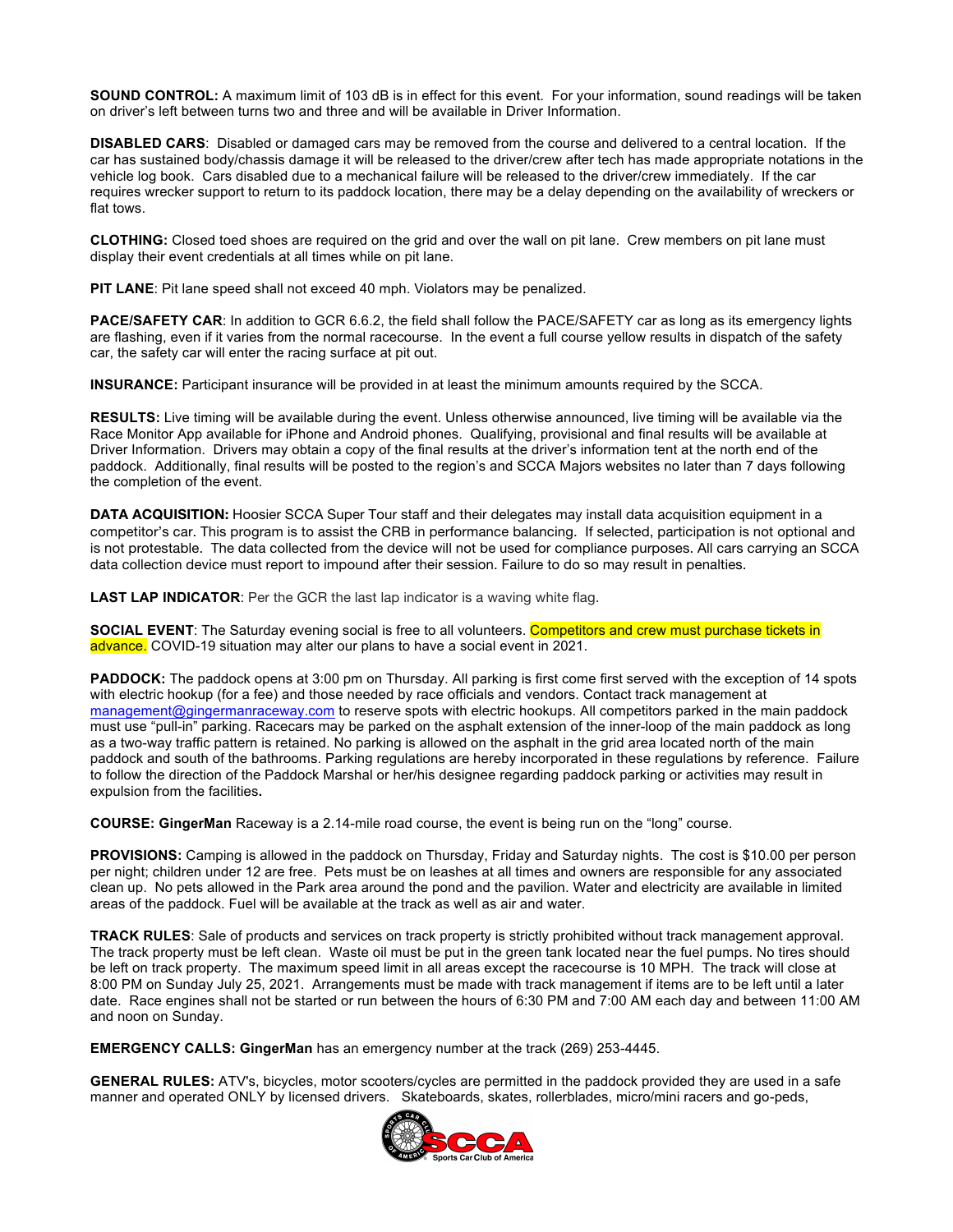**SOUND CONTROL:** A maximum limit of 103 dB is in effect for this event. For your information, sound readings will be taken on driver's left between turns two and three and will be available in Driver Information.

**DISABLED CARS**: Disabled or damaged cars may be removed from the course and delivered to a central location. If the car has sustained body/chassis damage it will be released to the driver/crew after tech has made appropriate notations in the vehicle log book. Cars disabled due to a mechanical failure will be released to the driver/crew immediately. If the car requires wrecker support to return to its paddock location, there may be a delay depending on the availability of wreckers or flat tows.

**CLOTHING:** Closed toed shoes are required on the grid and over the wall on pit lane. Crew members on pit lane must display their event credentials at all times while on pit lane.

**PIT LANE**: Pit lane speed shall not exceed 40 mph. Violators may be penalized.

**PACE/SAFETY CAR:** In addition to GCR 6.6.2, the field shall follow the PACE/SAFETY car as long as its emergency lights are flashing, even if it varies from the normal racecourse. In the event a full course yellow results in dispatch of the safety car, the safety car will enter the racing surface at pit out.

**INSURANCE:** Participant insurance will be provided in at least the minimum amounts required by the SCCA.

**RESULTS:** Live timing will be available during the event. Unless otherwise announced, live timing will be available via the Race Monitor App available for iPhone and Android phones. Qualifying, provisional and final results will be available at Driver Information. Drivers may obtain a copy of the final results at the driver's information tent at the north end of the paddock. Additionally, final results will be posted to the region's and SCCA Majors websites no later than 7 days following the completion of the event.

**DATA ACQUISITION:** Hoosier SCCA Super Tour staff and their delegates may install data acquisition equipment in a competitor's car. This program is to assist the CRB in performance balancing. If selected, participation is not optional and is not protestable. The data collected from the device will not be used for compliance purposes. All cars carrying an SCCA data collection device must report to impound after their session. Failure to do so may result in penalties.

**LAST LAP INDICATOR:** Per the GCR the last lap indicator is a waving white flag.

**SOCIAL EVENT:** The Saturday evening social is free to all volunteers. Competitors and crew must purchase tickets in advance. COVID-19 situation may alter our plans to have a social event in 2021.

**PADDOCK:** The paddock opens at 3:00 pm on Thursday. All parking is first come first served with the exception of 14 spots with electric hookup (for a fee) and those needed by race officials and vendors. Contact track management at management@gingermanraceway.com to reserve spots with electric hookups. All competitors parked in the main paddock must use "pull-in" parking. Racecars may be parked on the asphalt extension of the inner-loop of the main paddock as long as a two-way traffic pattern is retained. No parking is allowed on the asphalt in the grid area located north of the main paddock and south of the bathrooms. Parking regulations are hereby incorporated in these regulations by reference. Failure to follow the direction of the Paddock Marshal or her/his designee regarding paddock parking or activities may result in expulsion from the facilities**.** 

**COURSE: GingerMan** Raceway is a 2.14-mile road course, the event is being run on the "long" course.

**PROVISIONS:** Camping is allowed in the paddock on Thursday, Friday and Saturday nights. The cost is \$10.00 per person per night; children under 12 are free. Pets must be on leashes at all times and owners are responsible for any associated clean up. No pets allowed in the Park area around the pond and the pavilion. Water and electricity are available in limited areas of the paddock. Fuel will be available at the track as well as air and water.

**TRACK RULES**: Sale of products and services on track property is strictly prohibited without track management approval. The track property must be left clean. Waste oil must be put in the green tank located near the fuel pumps. No tires should be left on track property. The maximum speed limit in all areas except the racecourse is 10 MPH. The track will close at 8:00 PM on Sunday July 25, 2021. Arrangements must be made with track management if items are to be left until a later date. Race engines shall not be started or run between the hours of 6:30 PM and 7:00 AM each day and between 11:00 AM and noon on Sunday.

**EMERGENCY CALLS: GingerMan** has an emergency number at the track (269) 253-4445.

**GENERAL RULES:** ATV's, bicycles, motor scooters/cycles are permitted in the paddock provided they are used in a safe manner and operated ONLY by licensed drivers. Skateboards, skates, rollerblades, micro/mini racers and go-peds,